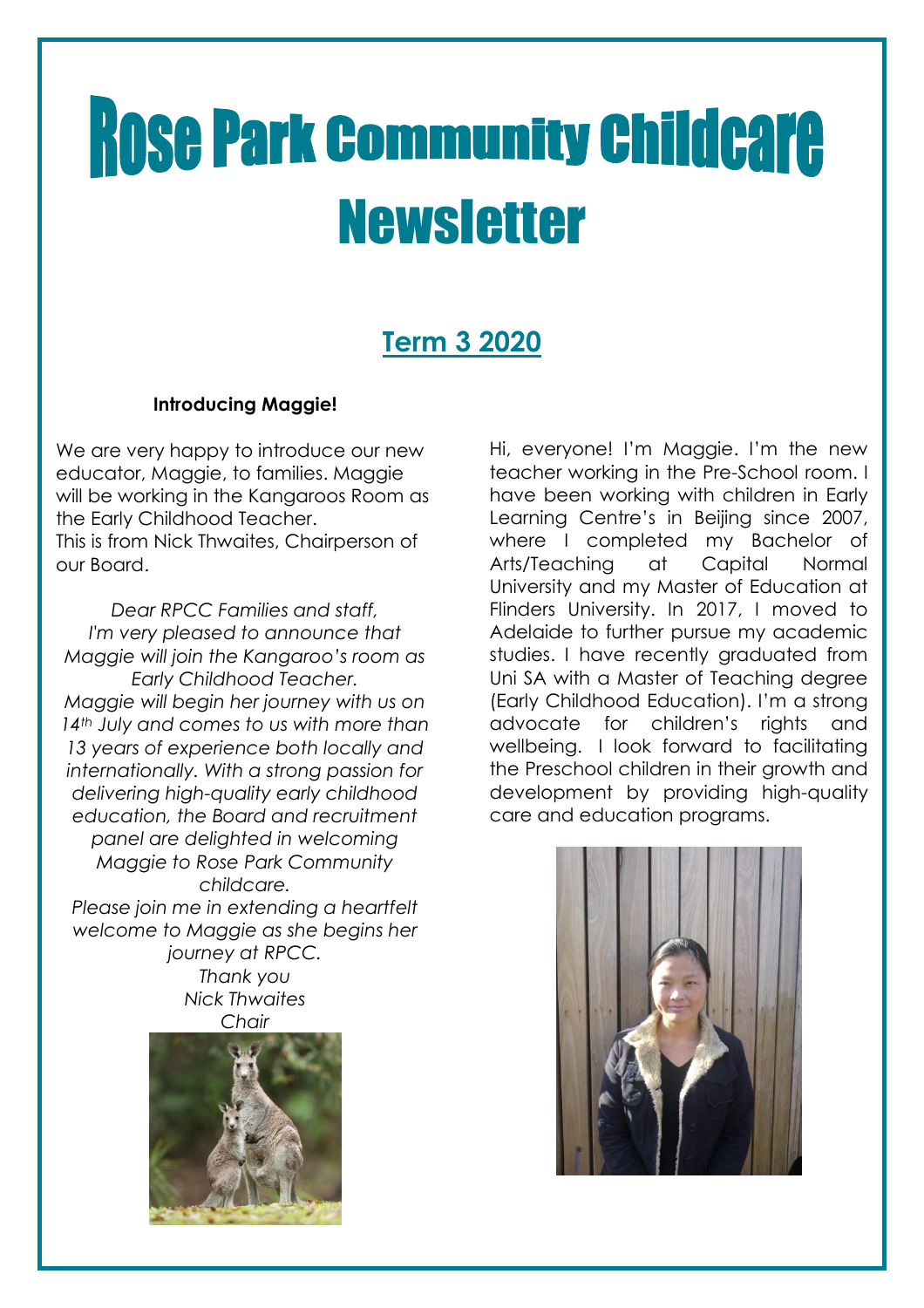# **Rose Park Community Childcare Newsletter**

### **Term 3 2020**

#### **Introducing Maggie!**

We are very happy to introduce our new educator, Maggie, to families. Maggie will be working in the Kangaroos Room as the Early Childhood Teacher. This is from Nick Thwaites, Chairperson of our Board.

*Dear RPCC Families and staff, I'm very pleased to announce that Maggie will join the Kangaroo's room as Early Childhood Teacher. Maggie will begin her journey with us on 14th July and comes to us with more than 13 years of experience both locally and internationally. With a strong passion for delivering high-quality early childhood education, the Board and recruitment panel are delighted in welcoming Maggie to Rose Park Community childcare.*

*Please join me in extending a heartfelt welcome to Maggie as she begins her journey at RPCC. Thank you*

*Nick Thwaites Chair*



Hi, everyone! I'm Maggie. I'm the new teacher working in the Pre-School room. I have been working with children in Early Learning Centre's in Beijing since 2007, where I completed my Bachelor of Arts/Teaching at Capital Normal University and my Master of Education at Flinders University. In 2017, I moved to Adelaide to further pursue my academic studies. I have recently graduated from Uni SA with a Master of Teaching degree (Early Childhood Education). I'm a strong advocate for children's rights and wellbeing. I look forward to facilitating the Preschool children in their growth and development by providing high-quality care and education programs.

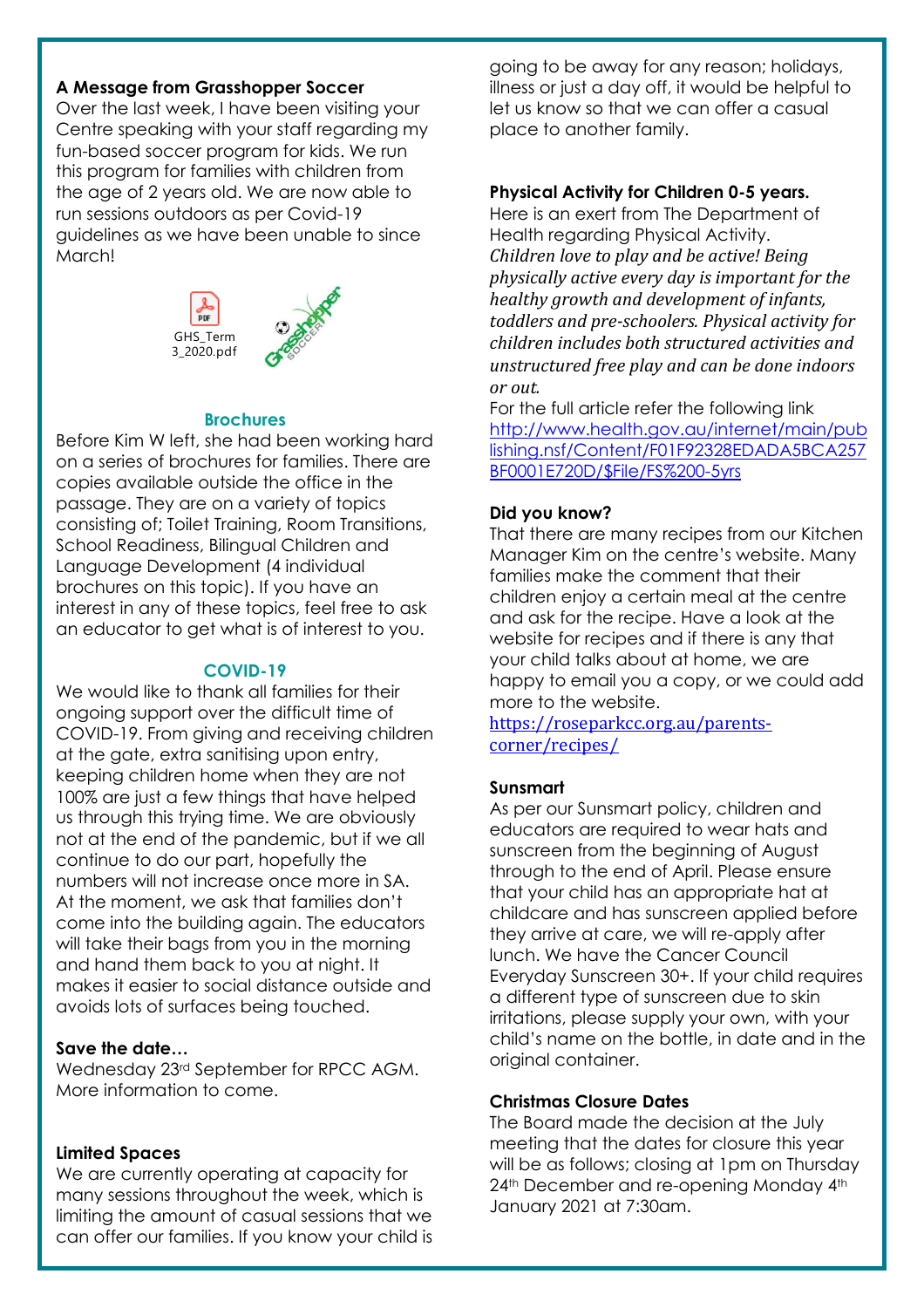#### **A Message from Grasshopper Soccer**

Over the last week, I have been visiting your Centre speaking with your staff regarding my fun-based soccer program for kids. We run this program for families with children from the age of 2 years old. We are now able to run sessions outdoors as per Covid-19 guidelines as we have been unable to since March!



#### **Brochures**

Before Kim W left, she had been working hard on a series of brochures for families. There are copies available outside the office in the passage. They are on a variety of topics consisting of; Toilet Training, Room Transitions, School Readiness, Bilingual Children and Language Development (4 individual brochures on this topic). If you have an interest in any of these topics, feel free to ask an educator to get what is of interest to you.

#### **COVID-19**

We would like to thank all families for their ongoing support over the difficult time of COVID-19. From giving and receiving children at the gate, extra sanitising upon entry, keeping children home when they are not 100% are just a few things that have helped us through this trying time. We are obviously not at the end of the pandemic, but if we all continue to do our part, hopefully the numbers will not increase once more in SA. At the moment, we ask that families don't come into the building again. The educators will take their bags from you in the morning and hand them back to you at night. It makes it easier to social distance outside and avoids lots of surfaces being touched.

#### **Save the date…**

Wednesday 23rd September for RPCC AGM. More information to come.

#### **Limited Spaces**

We are currently operating at capacity for many sessions throughout the week, which is limiting the amount of casual sessions that we can offer our families. If you know your child is going to be away for any reason; holidays, illness or just a day off, it would be helpful to let us know so that we can offer a casual place to another family.

#### **Physical Activity for Children 0-5 years.**

Here is an exert from The Department of Health regarding Physical Activity. *Children love to play and be active! Being physically active every day is important for the healthy growth and development of infants, toddlers and pre-schoolers. Physical activity for children includes both structured activities and unstructured free play and can be done indoors or out.*

For the full article refer the following link [http://www.health.gov.au/internet/main/pub](http://www.health.gov.au/internet/main/publishing.nsf/Content/F01F92328EDADA5BCA257BF0001E720D/$File/FS%200-5yrs) [lishing.nsf/Content/F01F92328EDADA5BCA257](http://www.health.gov.au/internet/main/publishing.nsf/Content/F01F92328EDADA5BCA257BF0001E720D/$File/FS%200-5yrs) [BF0001E720D/\\$File/FS%200-5yrs](http://www.health.gov.au/internet/main/publishing.nsf/Content/F01F92328EDADA5BCA257BF0001E720D/$File/FS%200-5yrs)

#### **Did you know?**

That there are many recipes from our Kitchen Manager Kim on the centre's website. Many families make the comment that their children enjoy a certain meal at the centre and ask for the recipe. Have a look at the website for recipes and if there is any that your child talks about at home, we are happy to email you a copy, or we could add more to the website.

[https://roseparkcc.org.au/parents](https://roseparkcc.org.au/parents-corner/recipes/)[corner/recipes/](https://roseparkcc.org.au/parents-corner/recipes/)

#### **Sunsmart**

As per our Sunsmart policy, children and educators are required to wear hats and sunscreen from the beginning of August through to the end of April. Please ensure that your child has an appropriate hat at childcare and has sunscreen applied before they arrive at care, we will re-apply after lunch. We have the Cancer Council Everyday Sunscreen 30+. If your child requires a different type of sunscreen due to skin irritations, please supply your own, with your child's name on the bottle, in date and in the original container.

#### **Christmas Closure Dates**

The Board made the decision at the July meeting that the dates for closure this year will be as follows; closing at 1pm on Thursday 24<sup>th</sup> December and re-opening Monday 4<sup>th</sup> January 2021 at 7:30am.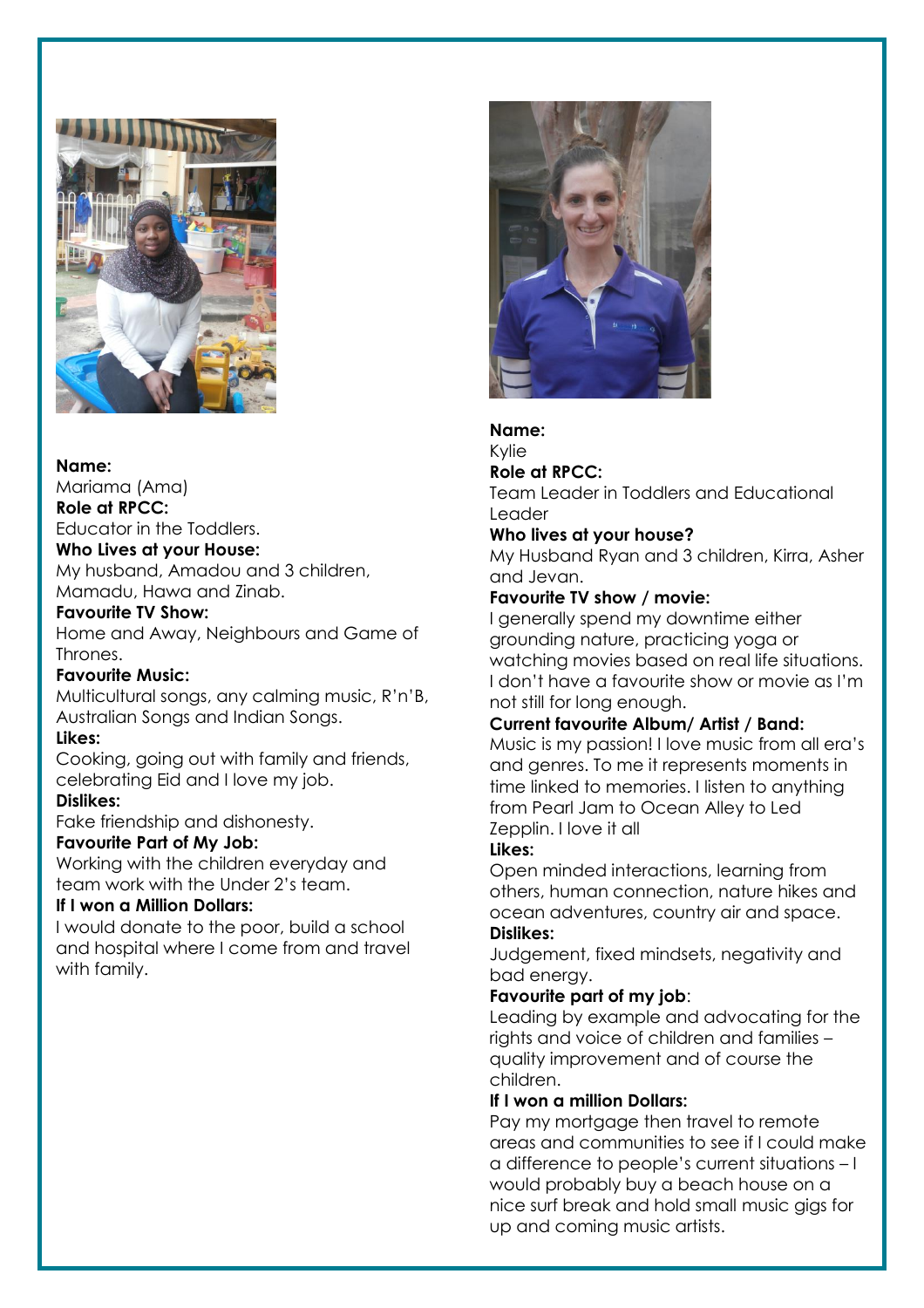

#### **Name:**

Mariama (Ama) **Role at RPCC:**

Educator in the Toddlers.

#### **Who Lives at your House:**

My husband, Amadou and 3 children, Mamadu, Hawa and Zinab.

#### **Favourite TV Show:**

Home and Away, Neighbours and Game of Thrones.

#### **Favourite Music:**

Multicultural songs, any calming music, R'n'B, Australian Songs and Indian Songs.

#### **Likes:**

Cooking, going out with family and friends, celebrating Eid and I love my job.

#### **Dislikes:**

Fake friendship and dishonesty.

#### **Favourite Part of My Job:**

Working with the children everyday and team work with the Under 2's team.

#### **If I won a Million Dollars:**

I would donate to the poor, build a school and hospital where I come from and travel with family.



#### **Name:**

Kylie

#### **Role at RPCC:**

Team Leader in Toddlers and Educational Leader

#### **Who lives at your house?**

My Husband Ryan and 3 children, Kirra, Asher and Jevan.

#### **Favourite TV show / movie:**

I generally spend my downtime either grounding nature, practicing yoga or watching movies based on real life situations. I don't have a favourite show or movie as I'm not still for long enough.

#### **Current favourite Album/ Artist / Band:**

Music is my passion! I love music from all era's and genres. To me it represents moments in time linked to memories. I listen to anything from Pearl Jam to Ocean Alley to Led Zepplin. I love it all

#### **Likes:**

Open minded interactions, learning from others, human connection, nature hikes and ocean adventures, country air and space.

#### **Dislikes:**

Judgement, fixed mindsets, negativity and bad energy.

#### **Favourite part of my job**:

Leading by example and advocating for the rights and voice of children and families – quality improvement and of course the children.

#### **If I won a million Dollars:**

Pay my mortgage then travel to remote areas and communities to see if I could make a difference to people's current situations – I would probably buy a beach house on a nice surf break and hold small music gigs for up and coming music artists.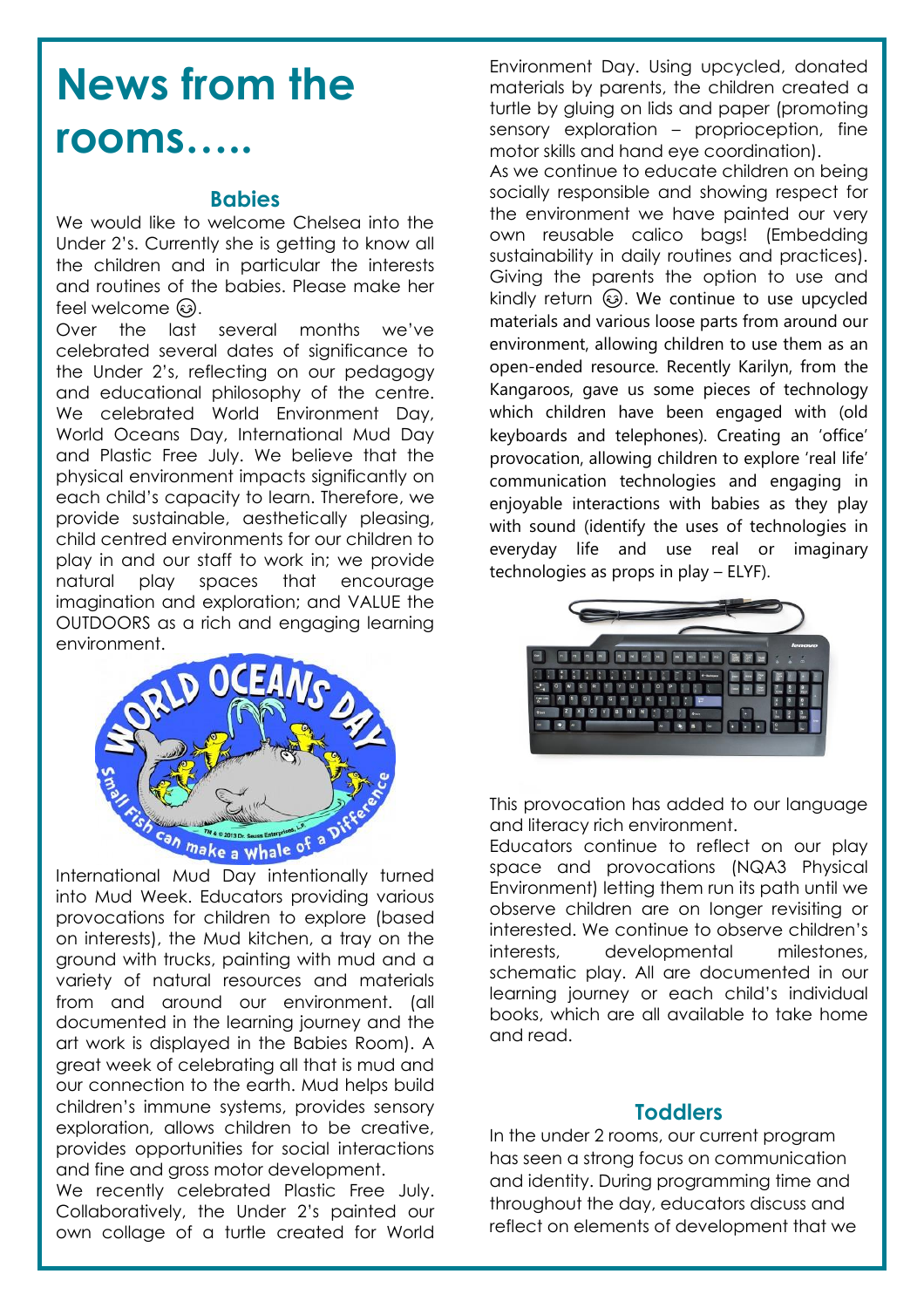## **News from the rooms…..**

#### **Babies**

We would like to welcome Chelsea into the Under 2's. Currently she is getting to know all the children and in particular the interests and routines of the babies. Please make her  $feel$  welcome  $\omega$ .

Over the last several months we've celebrated several dates of significance to the Under 2's, reflecting on our pedagogy and educational philosophy of the centre. We celebrated World Environment Day, World Oceans Day, International Mud Day and Plastic Free July. We believe that the physical environment impacts significantly on each child's capacity to learn. Therefore, we provide sustainable, aesthetically pleasing, child centred environments for our children to play in and our staff to work in; we provide natural play spaces that encourage imagination and exploration; and VALUE the OUTDOORS as a rich and engaging learning environment.



International Mud Day intentionally turned into Mud Week. Educators providing various provocations for children to explore (based on interests), the Mud kitchen, a tray on the ground with trucks, painting with mud and a variety of natural resources and materials from and around our environment. (all documented in the learning journey and the art work is displayed in the Babies Room). A great week of celebrating all that is mud and our connection to the earth. Mud helps build children's immune systems, provides sensory exploration, allows children to be creative, provides opportunities for social interactions and fine and gross motor development.

We recently celebrated Plastic Free July. Collaboratively, the Under 2's painted our own collage of a turtle created for World

Environment Day. Using upcycled, donated materials by parents, the children created a turtle by gluing on lids and paper (promoting sensory exploration – proprioception, fine motor skills and hand eye coordination).

As we continue to educate children on being socially responsible and showing respect for the environment we have painted our very own reusable calico bags! (Embedding sustainability in daily routines and practices). Giving the parents the option to use and kindly return  $\circled{a}$ . We continue to use upcycled materials and various loose parts from around our environment, allowing children to use them as an open-ended resource. Recently Karilyn, from the Kangaroos, gave us some pieces of technology which children have been engaged with (old keyboards and telephones). Creating an 'office' provocation, allowing children to explore 'real life' communication technologies and engaging in enjoyable interactions with babies as they play with sound (identify the uses of technologies in everyday life and use real or imaginary technologies as props in play – ELYF).



This provocation has added to our language and literacy rich environment.

Educators continue to reflect on our play space and provocations (NQA3 Physical Environment) letting them run its path until we observe children are on longer revisiting or interested. We continue to observe children's interests, developmental milestones, schematic play. All are documented in our learning journey or each child's individual books, which are all available to take home and read.

#### **Toddlers**

In the under 2 rooms, our current program has seen a strong focus on communication and identity. During programming time and throughout the day, educators discuss and reflect on elements of development that we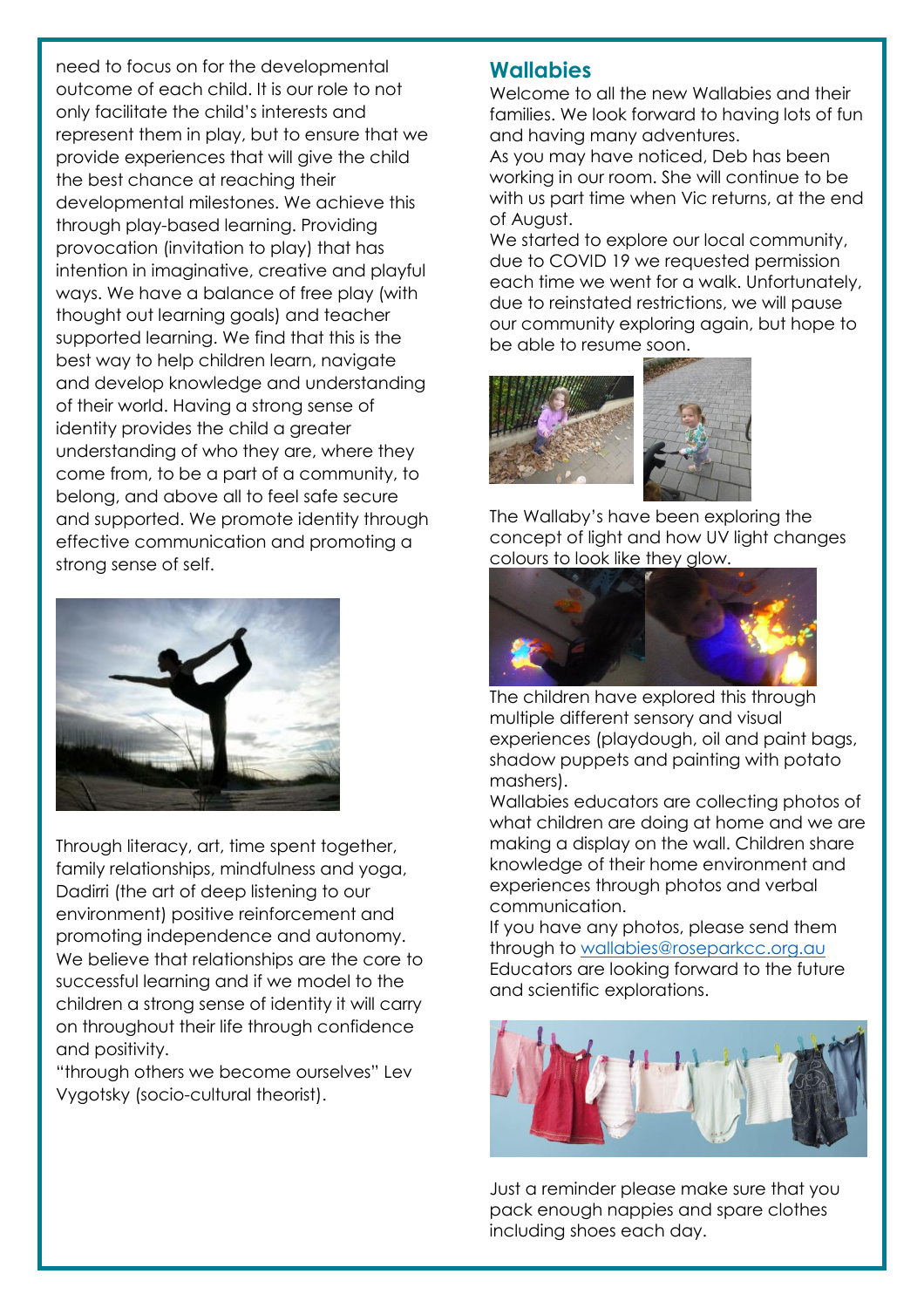need to focus on for the developmental outcome of each child. It is our role to not only facilitate the child's interests and represent them in play, but to ensure that we provide experiences that will give the child the best chance at reaching their developmental milestones. We achieve this through play-based learning. Providing provocation (invitation to play) that has intention in imaginative, creative and playful ways. We have a balance of free play (with thought out learning goals) and teacher supported learning. We find that this is the best way to help children learn, navigate and develop knowledge and understanding of their world. Having a strong sense of identity provides the child a greater understanding of who they are, where they come from, to be a part of a community, to belong, and above all to feel safe secure and supported. We promote identity through effective communication and promoting a strong sense of self.



Through literacy, art, time spent together, family relationships, mindfulness and yoga, Dadirri (the art of deep listening to our environment) positive reinforcement and promoting independence and autonomy. We believe that relationships are the core to successful learning and if we model to the children a strong sense of identity it will carry on throughout their life through confidence and positivity.

"through others we become ourselves" Lev Vygotsky (socio-cultural theorist).

#### **Wallabies**

Welcome to all the new Wallabies and their families. We look forward to having lots of fun and having many adventures.

As you may have noticed, Deb has been working in our room. She will continue to be with us part time when Vic returns, at the end of August.

We started to explore our local community, due to COVID 19 we requested permission each time we went for a walk. Unfortunately, due to reinstated restrictions, we will pause our community exploring again, but hope to be able to resume soon.



The Wallaby's have been exploring the concept of light and how UV light changes colours to look like they glow.



The children have explored this through multiple different sensory and visual experiences (playdough, oil and paint bags, shadow puppets and painting with potato mashers).

Wallabies educators are collecting photos of what children are doing at home and we are making a display on the wall. Children share knowledge of their home environment and experiences through photos and verbal communication.

If you have any photos, please send them through to [wallabies@roseparkcc.org.au](mailto:wallabies@roseparkcc.org.au) Educators are looking forward to the future and scientific explorations.



Just a reminder please make sure that you pack enough nappies and spare clothes including shoes each day.